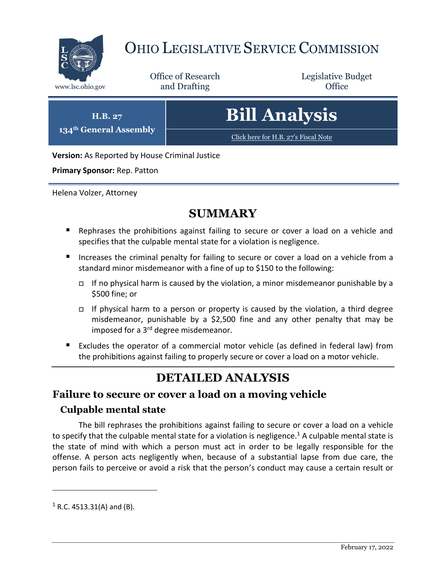

# OHIO LEGISLATIVE SERVICE COMMISSION

Office of Research www.lsc.ohio.gov **and Drafting Office** 

Legislative Budget

**H.B. 27 134th General Assembly** **Bill Analysis**

[Click here for H.B. 27](https://www.legislature.ohio.gov/legislation/legislation-documents?id=GA134-HB-27)'s Fiscal Note

**Version:** As Reported by House Criminal Justice

**Primary Sponsor:** Rep. Patton

Helena Volzer, Attorney

## **SUMMARY**

- **E** Rephrases the prohibitions against failing to secure or cover a load on a vehicle and specifies that the culpable mental state for a violation is negligence.
- Increases the criminal penalty for failing to secure or cover a load on a vehicle from a standard minor misdemeanor with a fine of up to \$150 to the following:
	- If no physical harm is caused by the violation, a minor misdemeanor punishable by a \$500 fine; or
	- $\Box$  If physical harm to a person or property is caused by the violation, a third degree misdemeanor, punishable by a \$2,500 fine and any other penalty that may be imposed for a 3<sup>rd</sup> degree misdemeanor.
- Excludes the operator of a commercial motor vehicle (as defined in federal law) from the prohibitions against failing to properly secure or cover a load on a motor vehicle.

# **DETAILED ANALYSIS**

#### **Failure to secure or cover a load on a moving vehicle**

#### **Culpable mental state**

The bill rephrases the prohibitions against failing to secure or cover a load on a vehicle to specify that the culpable mental state for a violation is negligence.<sup>1</sup> A culpable mental state is the state of mind with which a person must act in order to be legally responsible for the offense. A person acts negligently when, because of a substantial lapse from due care, the person fails to perceive or avoid a risk that the person's conduct may cause a certain result or

 $1$  R.C. 4513.31(A) and (B).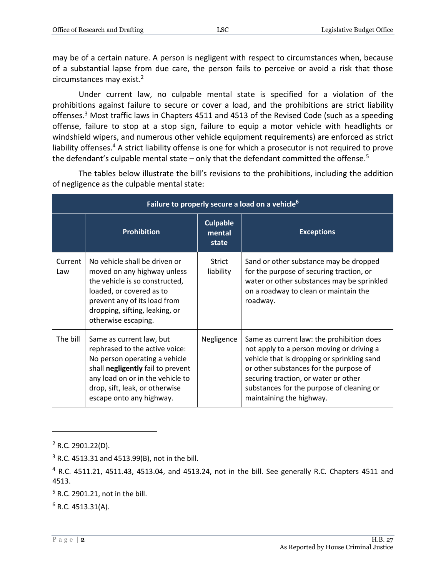may be of a certain nature. A person is negligent with respect to circumstances when, because of a substantial lapse from due care, the person fails to perceive or avoid a risk that those circumstances may exist.<sup>2</sup>

Under current law, no culpable mental state is specified for a violation of the prohibitions against failure to secure or cover a load, and the prohibitions are strict liability offenses.<sup>3</sup> Most traffic laws in Chapters 4511 and 4513 of the Revised Code (such as a speeding offense, failure to stop at a stop sign, failure to equip a motor vehicle with headlights or windshield wipers, and numerous other vehicle equipment requirements) are enforced as strict liability offenses.<sup>4</sup> A strict liability offense is one for which a prosecutor is not required to prove the defendant's culpable mental state – only that the defendant committed the offense.<sup>5</sup>

**Failure to properly secure a load on a vehicle<sup>6</sup> Prohibition Culpable mental state Exceptions** Current Law No vehicle shall be driven or moved on any highway unless the vehicle is so constructed, loaded, or covered as to prevent any of its load from dropping, sifting, leaking, or otherwise escaping. Strict liability Sand or other substance may be dropped for the purpose of securing traction, or water or other substances may be sprinkled on a roadway to clean or maintain the roadway. The bill  $\vert$  Same as current law, but rephrased to the active voice: No person operating a vehicle shall **negligently** fail to prevent any load on or in the vehicle to drop, sift, leak, or otherwise escape onto any highway. Negligence  $\vert$  Same as current law: the prohibition does not apply to a person moving or driving a vehicle that is dropping or sprinkling sand or other substances for the purpose of securing traction, or water or other substances for the purpose of cleaning or maintaining the highway.

The tables below illustrate the bill's revisions to the prohibitions, including the addition of negligence as the culpable mental state:

 $2$  R.C. 2901.22(D).

 $3$  R.C. 4513.31 and 4513.99(B), not in the bill.

 $4$  R.C. 4511.21, 4511.43, 4513.04, and 4513.24, not in the bill. See generally R.C. Chapters 4511 and 4513.

<sup>5</sup> R.C. 2901.21, not in the bill.

 $6$  R.C. 4513.31(A).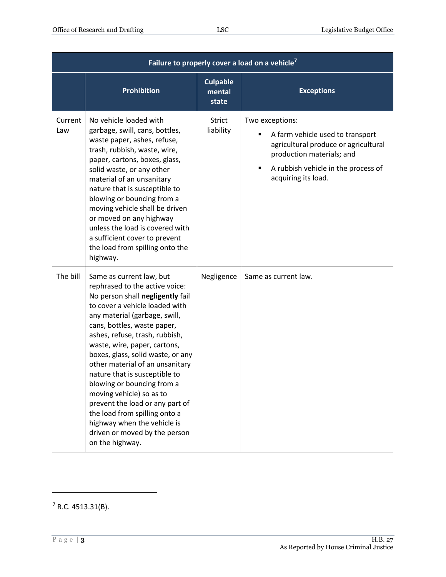| Failure to properly cover a load on a vehicle <sup>7</sup> |                                                                                                                                                                                                                                                                                                                                                                                                                                                                                                                                                                                              |                                    |                                                                                                                                                                                        |  |  |
|------------------------------------------------------------|----------------------------------------------------------------------------------------------------------------------------------------------------------------------------------------------------------------------------------------------------------------------------------------------------------------------------------------------------------------------------------------------------------------------------------------------------------------------------------------------------------------------------------------------------------------------------------------------|------------------------------------|----------------------------------------------------------------------------------------------------------------------------------------------------------------------------------------|--|--|
|                                                            | <b>Prohibition</b>                                                                                                                                                                                                                                                                                                                                                                                                                                                                                                                                                                           | <b>Culpable</b><br>mental<br>state | <b>Exceptions</b>                                                                                                                                                                      |  |  |
| Current<br>Law                                             | No vehicle loaded with<br>garbage, swill, cans, bottles,<br>waste paper, ashes, refuse,<br>trash, rubbish, waste, wire,<br>paper, cartons, boxes, glass,<br>solid waste, or any other<br>material of an unsanitary<br>nature that is susceptible to<br>blowing or bouncing from a<br>moving vehicle shall be driven<br>or moved on any highway<br>unless the load is covered with<br>a sufficient cover to prevent<br>the load from spilling onto the<br>highway.                                                                                                                            | <b>Strict</b><br>liability         | Two exceptions:<br>A farm vehicle used to transport<br>agricultural produce or agricultural<br>production materials; and<br>A rubbish vehicle in the process of<br>acquiring its load. |  |  |
| The bill                                                   | Same as current law, but<br>rephrased to the active voice:<br>No person shall negligently fail<br>to cover a vehicle loaded with<br>any material (garbage, swill,<br>cans, bottles, waste paper,<br>ashes, refuse, trash, rubbish,<br>waste, wire, paper, cartons,<br>boxes, glass, solid waste, or any<br>other material of an unsanitary<br>nature that is susceptible to<br>blowing or bouncing from a<br>moving vehicle) so as to<br>prevent the load or any part of<br>the load from spilling onto a<br>highway when the vehicle is<br>driven or moved by the person<br>on the highway. | Negligence                         | Same as current law.                                                                                                                                                                   |  |  |

 $7$  R.C. 4513.31(B).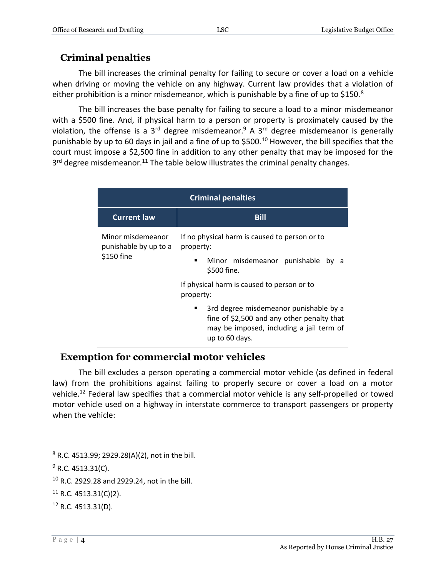#### **Criminal penalties**

The bill increases the criminal penalty for failing to secure or cover a load on a vehicle when driving or moving the vehicle on any highway. Current law provides that a violation of either prohibition is a minor misdemeanor, which is punishable by a fine of up to  $$150<sup>8</sup>$ 

The bill increases the base penalty for failing to secure a load to a minor misdemeanor with a \$500 fine. And, if physical harm to a person or property is proximately caused by the violation, the offense is a  $3<sup>rd</sup>$  degree misdemeanor.<sup>9</sup> A  $3<sup>rd</sup>$  degree misdemeanor is generally punishable by up to 60 days in jail and a fine of up to \$500.<sup>10</sup> However, the bill specifies that the court must impose a \$2,500 fine in addition to any other penalty that may be imposed for the 3<sup>rd</sup> degree misdemeanor.<sup>11</sup> The table below illustrates the criminal penalty changes.

| <b>Criminal penalties</b>                                |                                                                                                                                                                 |  |  |  |
|----------------------------------------------------------|-----------------------------------------------------------------------------------------------------------------------------------------------------------------|--|--|--|
| <b>Current law</b>                                       | <b>Bill</b>                                                                                                                                                     |  |  |  |
| Minor misdemeanor<br>punishable by up to a<br>\$150 fine | If no physical harm is caused to person or to<br>property:<br>Minor misdemeanor punishable<br>bv<br>\$500 fine.<br>If physical harm is caused to person or to   |  |  |  |
|                                                          | property:<br>3rd degree misdemeanor punishable by a<br>fine of \$2,500 and any other penalty that<br>may be imposed, including a jail term of<br>up to 60 days. |  |  |  |

#### **Exemption for commercial motor vehicles**

The bill excludes a person operating a commercial motor vehicle (as defined in federal law) from the prohibitions against failing to properly secure or cover a load on a motor vehicle.<sup>12</sup> Federal law specifies that a commercial motor vehicle is any self-propelled or towed motor vehicle used on a highway in interstate commerce to transport passengers or property when the vehicle:

<sup>8</sup> R.C. 4513.99; 2929.28(A)(2), not in the bill.

 $9$  R.C. 4513.31(C).

<sup>10</sup> R.C. 2929.28 and 2929.24, not in the bill.

 $11$  R.C. 4513.31(C)(2).

 $12$  R.C. 4513.31(D).